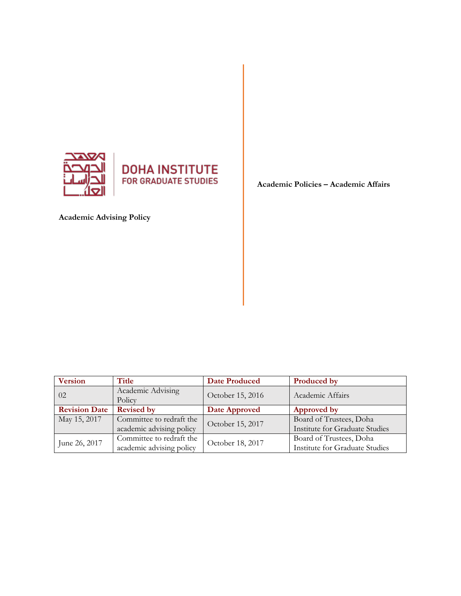



**Academic Advising Policy**

**Academic Policies – Academic Affairs**

| <b>Version</b>       | Title                       | <b>Date Produced</b> | Produced by                    |
|----------------------|-----------------------------|----------------------|--------------------------------|
| 02                   | Academic Advising<br>Policy | October 15, 2016     | Academic Affairs               |
| <b>Revision Date</b> | <b>Revised by</b>           | Date Approved        | Approved by                    |
| May 15, 2017         | Committee to redraft the    | October 15, 2017     | Board of Trustees, Doha        |
|                      | academic advising policy    |                      | Institute for Graduate Studies |
| June 26, 2017        | Committee to redraft the    | October 18, 2017     | Board of Trustees, Doha        |
|                      | academic advising policy    |                      | Institute for Graduate Studies |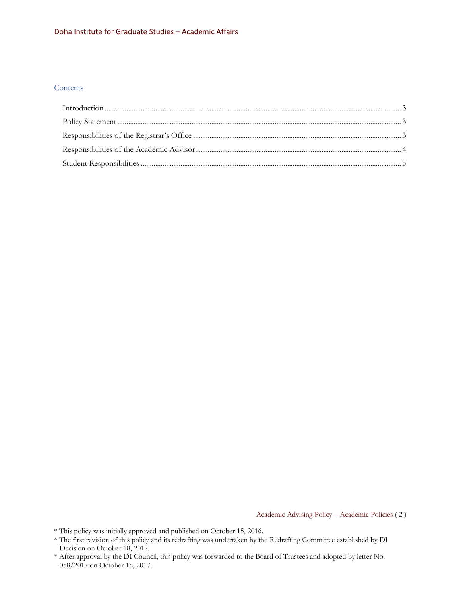#### Doha Institute for Graduate Studies – Academic Affairs

## **Contents**

Academic Advising Policy – Academic Policies ( 2 )

- \* This policy was initially approved and published on October 15, 2016.
- \* The first revision of this policy and its redrafting was undertaken by the Redrafting Committee established by DI Decision on October 18, 2017.
- \* After approval by the DI Council, this policy was forwarded to the Board of Trustees and adopted by letter No. 058/2017 on October 18, 2017.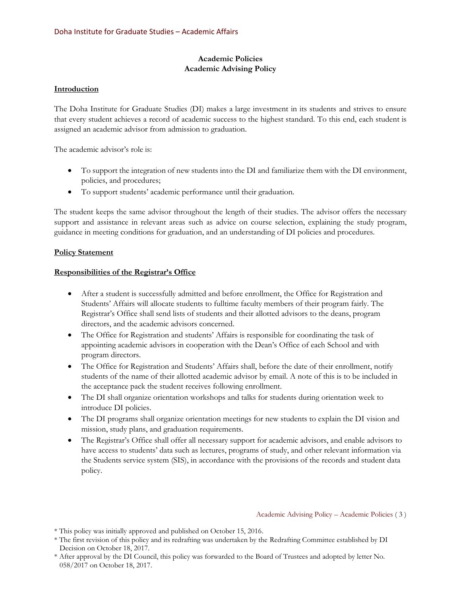# **Academic Policies Academic Advising Policy**

## <span id="page-2-0"></span>**Introduction**

The Doha Institute for Graduate Studies (DI) makes a large investment in its students and strives to ensure that every student achieves a record of academic success to the highest standard. To this end, each student is assigned an academic advisor from admission to graduation.

The academic advisor's role is:

- To support the integration of new students into the DI and familiarize them with the DI environment, policies, and procedures;
- To support students' academic performance until their graduation.

The student keeps the same advisor throughout the length of their studies. The advisor offers the necessary support and assistance in relevant areas such as advice on course selection, explaining the study program, guidance in meeting conditions for graduation, and an understanding of DI policies and procedures.

## <span id="page-2-1"></span>**Policy Statement**

# <span id="page-2-2"></span>**Responsibilities of the Registrar's Office**

- After a student is successfully admitted and before enrollment, the Office for Registration and Students' Affairs will allocate students to fulltime faculty members of their program fairly. The Registrar's Office shall send lists of students and their allotted advisors to the deans, program directors, and the academic advisors concerned.
- The Office for Registration and students' Affairs is responsible for coordinating the task of appointing academic advisors in cooperation with the Dean's Office of each School and with program directors.
- The Office for Registration and Students' Affairs shall, before the date of their enrollment, notify students of the name of their allotted academic advisor by email. A note of this is to be included in the acceptance pack the student receives following enrollment.
- The DI shall organize orientation workshops and talks for students during orientation week to introduce DI policies.
- The DI programs shall organize orientation meetings for new students to explain the DI vision and mission, study plans, and graduation requirements.
- The Registrar's Office shall offer all necessary support for academic advisors, and enable advisors to have access to students' data such as lectures, programs of study, and other relevant information via the Students service system (SIS), in accordance with the provisions of the records and student data policy.

Academic Advising Policy – Academic Policies ( 3 )

- \* The first revision of this policy and its redrafting was undertaken by the Redrafting Committee established by DI Decision on October 18, 2017.
- \* After approval by the DI Council, this policy was forwarded to the Board of Trustees and adopted by letter No. 058/2017 on October 18, 2017.

<sup>\*</sup> This policy was initially approved and published on October 15, 2016.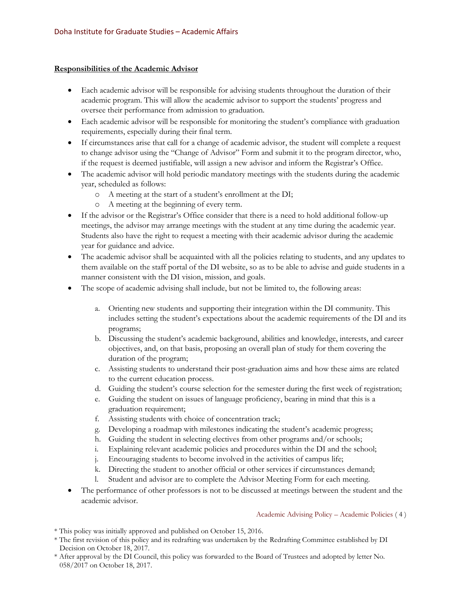### <span id="page-3-0"></span>**Responsibilities of the Academic Advisor**

- Each academic advisor will be responsible for advising students throughout the duration of their academic program. This will allow the academic advisor to support the students' progress and oversee their performance from admission to graduation.
- Each academic advisor will be responsible for monitoring the student's compliance with graduation requirements, especially during their final term.
- If circumstances arise that call for a change of academic advisor, the student will complete a request to change advisor using the "Change of Advisor" Form and submit it to the program director, who, if the request is deemed justifiable, will assign a new advisor and inform the Registrar's Office.
- The academic advisor will hold periodic mandatory meetings with the students during the academic year, scheduled as follows:
	- o A meeting at the start of a student's enrollment at the DI;
	- o A meeting at the beginning of every term.
- If the advisor or the Registrar's Office consider that there is a need to hold additional follow-up meetings, the advisor may arrange meetings with the student at any time during the academic year. Students also have the right to request a meeting with their academic advisor during the academic year for guidance and advice.
- The academic advisor shall be acquainted with all the policies relating to students, and any updates to them available on the staff portal of the DI website, so as to be able to advise and guide students in a manner consistent with the DI vision, mission, and goals.
- The scope of academic advising shall include, but not be limited to, the following areas:
	- a. Orienting new students and supporting their integration within the DI community. This includes setting the student's expectations about the academic requirements of the DI and its programs;
	- b. Discussing the student's academic background, abilities and knowledge, interests, and career objectives, and, on that basis, proposing an overall plan of study for them covering the duration of the program;
	- c. Assisting students to understand their post-graduation aims and how these aims are related to the current education process.
	- d. Guiding the student's course selection for the semester during the first week of registration;
	- e. Guiding the student on issues of language proficiency, bearing in mind that this is a graduation requirement;
	- f. Assisting students with choice of concentration track;
	- g. Developing a roadmap with milestones indicating the student's academic progress;
	- h. Guiding the student in selecting electives from other programs and/or schools;
	- i. Explaining relevant academic policies and procedures within the DI and the school;
	- j. Encouraging students to become involved in the activities of campus life;
	- k. Directing the student to another official or other services if circumstances demand;
	- l. Student and advisor are to complete the Advisor Meeting Form for each meeting.
- The performance of other professors is not to be discussed at meetings between the student and the academic advisor.

#### Academic Advising Policy – Academic Policies ( 4 )

- \* This policy was initially approved and published on October 15, 2016.
- \* The first revision of this policy and its redrafting was undertaken by the Redrafting Committee established by DI Decision on October 18, 2017.
- \* After approval by the DI Council, this policy was forwarded to the Board of Trustees and adopted by letter No. 058/2017 on October 18, 2017.